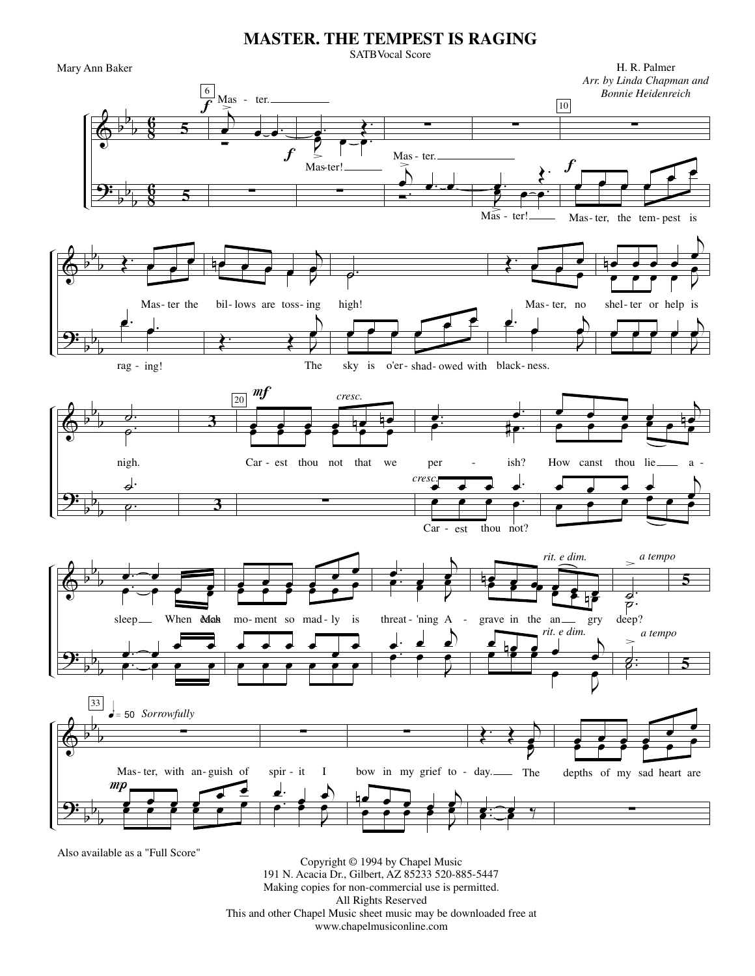## **MASTER. THE TEMPEST IS RAGING**

Mary Ann Baker

**SATBVocal Score** 



191 N. Acacia Dr., Gilbert, AZ 85233 520-885-5447 Making copies for non-commercial use is permitted. All Rights Reserved This and other Chapel Music sheet music may be downloaded free at www.chapelmusiconline.com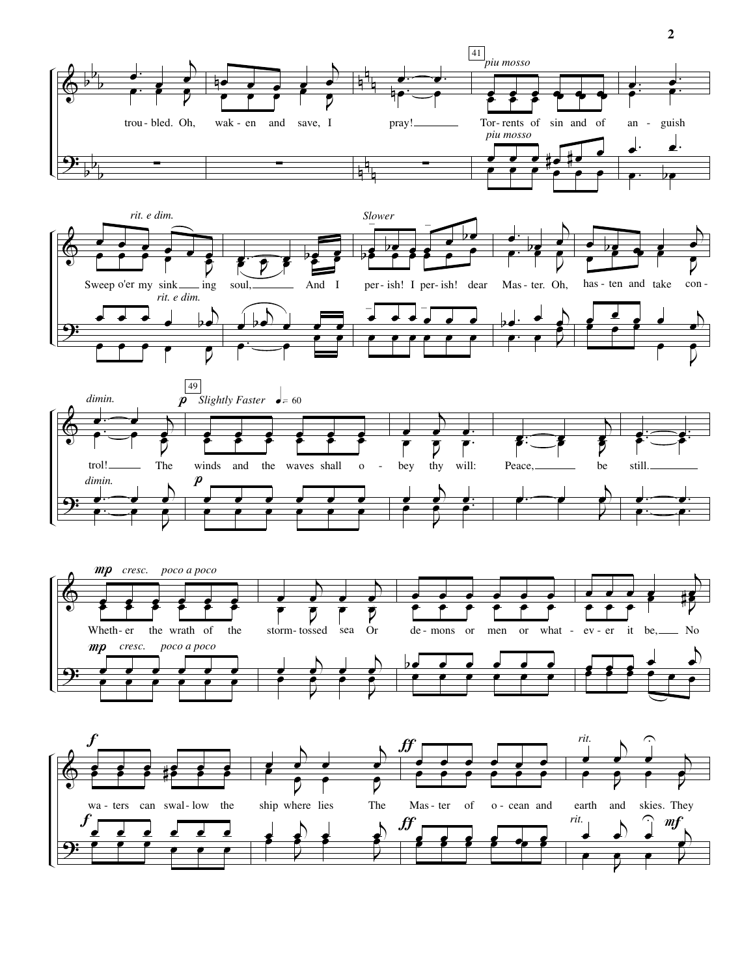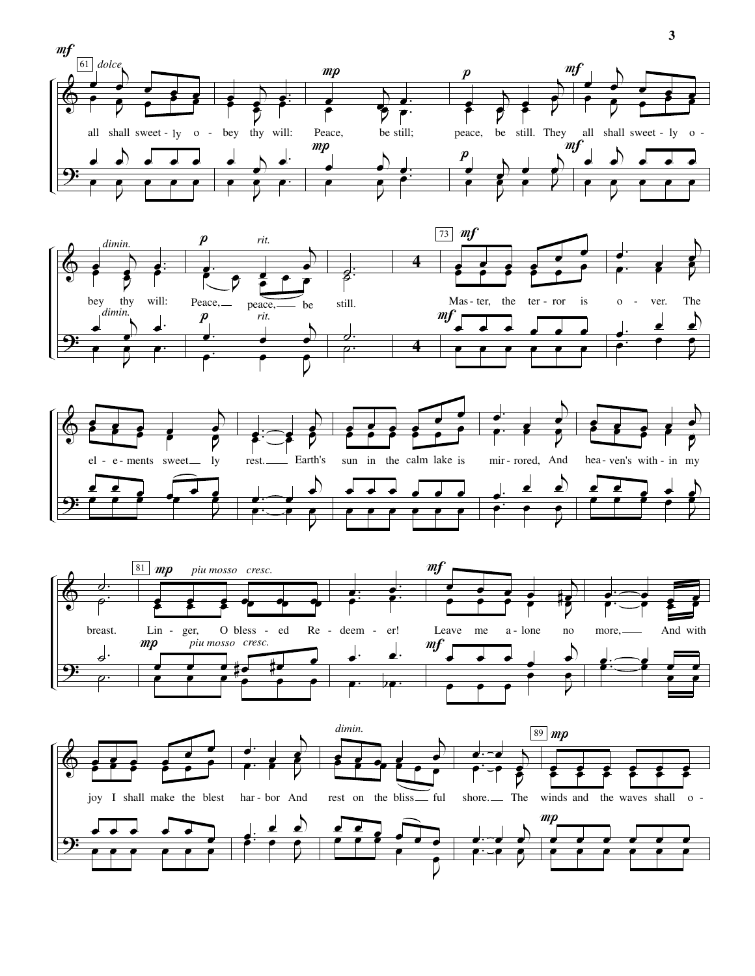